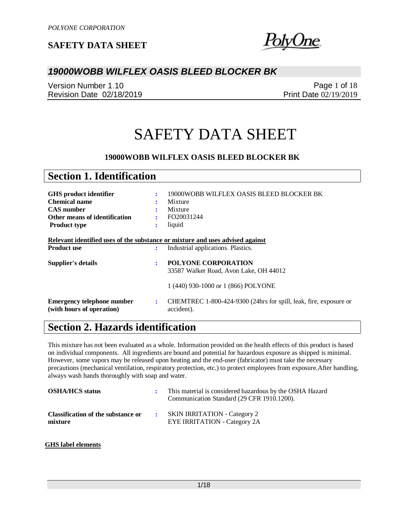<u>hne</u>

### *19000WOBB WILFLEX OASIS BLEED BLOCKER BK*

Version Number 1.10 Revision Date 02/18/2019

Page 1 of 18 Print Date 02/19/2019

# SAFETY DATA SHEET

#### **19000WOBB WILFLEX OASIS BLEED BLOCKER BK**

| <b>Section 1. Identification</b>                                                                    |                |                                                                                 |
|-----------------------------------------------------------------------------------------------------|----------------|---------------------------------------------------------------------------------|
|                                                                                                     |                |                                                                                 |
| GHS product identifier                                                                              | ÷              | 19000WOBB WILFLEX OASIS BLEED BLOCKER BK                                        |
| <b>Chemical name</b>                                                                                |                | Mixture                                                                         |
| <b>CAS</b> number                                                                                   |                | Mixture                                                                         |
| Other means of identification                                                                       | ÷              | FO20031244                                                                      |
| <b>Product type</b>                                                                                 | ٠<br>۰         | liquid                                                                          |
| Relevant identified uses of the substance or mixture and uses advised against<br><b>Product use</b> | $\ddot{\cdot}$ | Industrial applications. Plastics.                                              |
| Supplier's details                                                                                  | ÷              | <b>POLYONE CORPORATION</b><br>33587 Walker Road, Avon Lake, OH 44012            |
|                                                                                                     |                | 1 (440) 930-1000 or 1 (866) POLYONE                                             |
| <b>Emergency telephone number</b><br>(with hours of operation)                                      | ÷              | CHEMTREC 1-800-424-9300 (24hrs for spill, leak, fire, exposure or<br>accident). |

## **Section 2. Hazards identification**

This mixture has not been evaluated as a whole. Information provided on the health effects of this product is based on individual components. All ingredients are bound and potential for hazardous exposure as shipped is minimal. However, some vapors may be released upon heating and the end-user (fabricator) must take the necessary precautions (mechanical ventilation, respiratory protection, etc.) to protect employees from exposure.After handling, always wash hands thoroughly with soap and water.

| <b>OSHA/HCS status</b>                        | This material is considered hazardous by the OSHA Hazard<br>Communication Standard (29 CFR 1910.1200). |
|-----------------------------------------------|--------------------------------------------------------------------------------------------------------|
| Classification of the substance or<br>mixture | <b>SKIN IRRITATION - Category 2</b><br>EYE IRRITATION - Category 2A                                    |

#### **GHS label elements**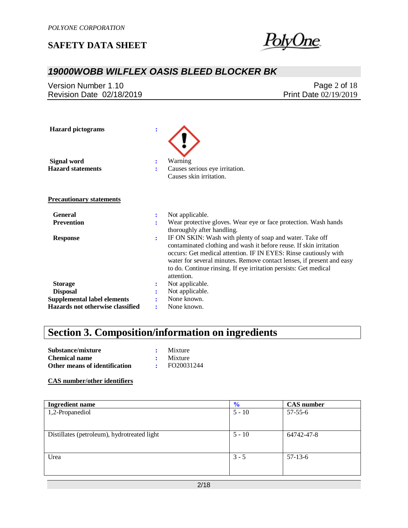

## *19000WOBB WILFLEX OASIS BLEED BLOCKER BK*

|                          | Page 2 of $18$        |
|--------------------------|-----------------------|
| Revision Date 02/18/2019 | Print Date 02/19/2019 |

| <b>Hazard</b> pictograms           | $\ddot{\cdot}$ |                                                                                                                                                                                                                                                                                                                                                               |
|------------------------------------|----------------|---------------------------------------------------------------------------------------------------------------------------------------------------------------------------------------------------------------------------------------------------------------------------------------------------------------------------------------------------------------|
| <b>Signal word</b>                 |                | Warning                                                                                                                                                                                                                                                                                                                                                       |
| <b>Hazard statements</b>           | ÷              | Causes serious eye irritation.<br>Causes skin irritation.                                                                                                                                                                                                                                                                                                     |
| <b>Precautionary statements</b>    |                |                                                                                                                                                                                                                                                                                                                                                               |
| <b>General</b>                     | :              | Not applicable.                                                                                                                                                                                                                                                                                                                                               |
| <b>Prevention</b>                  | ÷              | Wear protective gloves. Wear eye or face protection. Wash hands<br>thoroughly after handling.                                                                                                                                                                                                                                                                 |
| <b>Response</b>                    | ÷              | IF ON SKIN: Wash with plenty of soap and water. Take off<br>contaminated clothing and wash it before reuse. If skin irritation<br>occurs: Get medical attention. IF IN EYES: Rinse cautiously with<br>water for several minutes. Remove contact lenses, if present and easy<br>to do. Continue rinsing. If eye irritation persists: Get medical<br>attention. |
| <b>Storage</b>                     | :              | Not applicable.                                                                                                                                                                                                                                                                                                                                               |
| <b>Disposal</b>                    |                | Not applicable.                                                                                                                                                                                                                                                                                                                                               |
| <b>Supplemental label elements</b> |                | None known.                                                                                                                                                                                                                                                                                                                                                   |
| Hazards not otherwise classified   | ÷              | None known.                                                                                                                                                                                                                                                                                                                                                   |

# **Section 3. Composition/information on ingredients**

| Substance/mixture             | $\therefore$ Mixture |
|-------------------------------|----------------------|
| <b>Chemical name</b>          | $\cdot$ Mixture      |
| Other means of identification | FO20031244           |

#### **CAS number/other identifiers**

| <b>Ingredient name</b>                      | $\frac{6}{6}$ | <b>CAS</b> number |
|---------------------------------------------|---------------|-------------------|
| 1,2-Propanediol                             | $5 - 10$      | $57 - 55 - 6$     |
|                                             |               |                   |
| Distillates (petroleum), hydrotreated light | $5 - 10$      | 64742-47-8        |
|                                             |               |                   |
| Urea                                        | $3 - 5$       | $57-13-6$         |
|                                             |               |                   |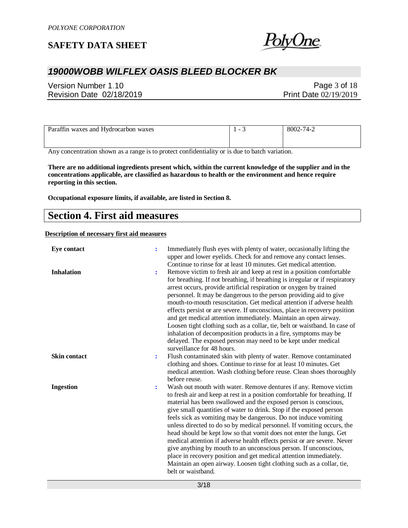

## *19000WOBB WILFLEX OASIS BLEED BLOCKER BK*

Version Number 1.10 Revision Date 02/18/2019

Page 3 of 18 Print Date 02/19/2019

| Paraffin waxes and Hydrocarbon waxes | 8002-74-2 |
|--------------------------------------|-----------|
|                                      |           |

Any concentration shown as a range is to protect confidentiality or is due to batch variation.

**There are no additional ingredients present which, within the current knowledge of the supplier and in the concentrations applicable, are classified as hazardous to health or the environment and hence require reporting in this section.**

**Occupational exposure limits, if available, are listed in Section 8.**

### **Section 4. First aid measures**

**Description of necessary first aid measures**

| <b>Eye contact</b>  | ÷  | Immediately flush eyes with plenty of water, occasionally lifting the<br>upper and lower eyelids. Check for and remove any contact lenses.<br>Continue to rinse for at least 10 minutes. Get medical attention.                                                                                                                                                                                                                                                                                                                                                                                                                                                                                                                                                                                                                  |
|---------------------|----|----------------------------------------------------------------------------------------------------------------------------------------------------------------------------------------------------------------------------------------------------------------------------------------------------------------------------------------------------------------------------------------------------------------------------------------------------------------------------------------------------------------------------------------------------------------------------------------------------------------------------------------------------------------------------------------------------------------------------------------------------------------------------------------------------------------------------------|
| <b>Inhalation</b>   | ÷  | Remove victim to fresh air and keep at rest in a position comfortable<br>for breathing. If not breathing, if breathing is irregular or if respiratory<br>arrest occurs, provide artificial respiration or oxygen by trained<br>personnel. It may be dangerous to the person providing aid to give<br>mouth-to-mouth resuscitation. Get medical attention if adverse health<br>effects persist or are severe. If unconscious, place in recovery position<br>and get medical attention immediately. Maintain an open airway.<br>Loosen tight clothing such as a collar, tie, belt or waistband. In case of<br>inhalation of decomposition products in a fire, symptoms may be<br>delayed. The exposed person may need to be kept under medical<br>surveillance for 48 hours.                                                       |
| <b>Skin contact</b> | ÷  | Flush contaminated skin with plenty of water. Remove contaminated<br>clothing and shoes. Continue to rinse for at least 10 minutes. Get<br>medical attention. Wash clothing before reuse. Clean shoes thoroughly<br>before reuse.                                                                                                                                                                                                                                                                                                                                                                                                                                                                                                                                                                                                |
| <b>Ingestion</b>    | ۰. | Wash out mouth with water. Remove dentures if any. Remove victim<br>to fresh air and keep at rest in a position comfortable for breathing. If<br>material has been swallowed and the exposed person is conscious,<br>give small quantities of water to drink. Stop if the exposed person<br>feels sick as vomiting may be dangerous. Do not induce vomiting<br>unless directed to do so by medical personnel. If vomiting occurs, the<br>head should be kept low so that vomit does not enter the lungs. Get<br>medical attention if adverse health effects persist or are severe. Never<br>give anything by mouth to an unconscious person. If unconscious,<br>place in recovery position and get medical attention immediately.<br>Maintain an open airway. Loosen tight clothing such as a collar, tie,<br>belt or waistband. |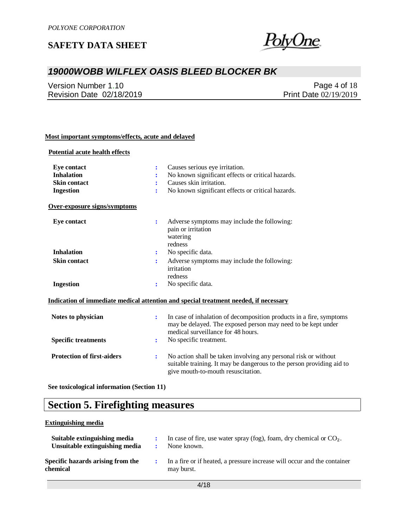

## *19000WOBB WILFLEX OASIS BLEED BLOCKER BK*

Version Number 1.10 Revision Date 02/18/2019

Page 4 of 18 Print Date 02/19/2019

#### **Most important symptoms/effects, acute and delayed**

#### **Potential acute health effects**

| <b>Eye contact</b>                | Causes serious eye irritation.                                                                                                                                                      |
|-----------------------------------|-------------------------------------------------------------------------------------------------------------------------------------------------------------------------------------|
| <b>Inhalation</b>                 | No known significant effects or critical hazards.                                                                                                                                   |
| <b>Skin contact</b>               | Causes skin irritation.<br>÷                                                                                                                                                        |
| <b>Ingestion</b>                  | No known significant effects or critical hazards.<br>÷                                                                                                                              |
| Over-exposure signs/symptoms      |                                                                                                                                                                                     |
| Eye contact                       | Adverse symptoms may include the following:<br>÷<br>pain or irritation<br>watering<br>redness                                                                                       |
| <b>Inhalation</b>                 | No specific data.<br>:                                                                                                                                                              |
| <b>Skin contact</b>               | Adverse symptoms may include the following:<br>÷                                                                                                                                    |
|                                   | irritation                                                                                                                                                                          |
|                                   | redness                                                                                                                                                                             |
| <b>Ingestion</b>                  | No specific data.                                                                                                                                                                   |
|                                   | Indication of immediate medical attention and special treatment needed, if necessary                                                                                                |
| Notes to physician                | In case of inhalation of decomposition products in a fire, symptoms<br>÷<br>may be delayed. The exposed person may need to be kept under<br>medical surveillance for 48 hours.      |
| <b>Specific treatments</b>        | No specific treatment.<br>÷                                                                                                                                                         |
| <b>Protection of first-aiders</b> | No action shall be taken involving any personal risk or without<br>÷<br>suitable training. It may be dangerous to the person providing aid to<br>give mouth-to-mouth resuscitation. |

**See toxicological information (Section 11)**

## **Section 5. Firefighting measures**

#### **Extinguishing media**

| Suitable extinguishing media<br>Unsuitable extinguishing media | In case of fire, use water spray (fog), foam, dry chemical or $CO2$ .<br>None known.   |
|----------------------------------------------------------------|----------------------------------------------------------------------------------------|
| Specific hazards arising from the<br>chemical                  | In a fire or if heated, a pressure increase will occur and the container<br>may burst. |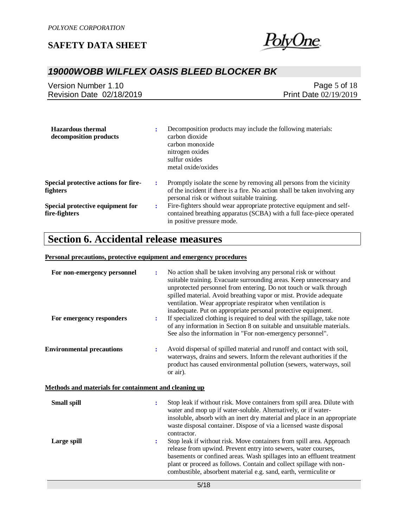

## *19000WOBB WILFLEX OASIS BLEED BLOCKER BK*

| Version Number 1.10      | Page 5 of $18$               |
|--------------------------|------------------------------|
| Revision Date 02/18/2019 | <b>Print Date 02/19/2019</b> |
|                          |                              |

| <b>Hazardous</b> thermal<br>decomposition products      |   | Decomposition products may include the following materials:<br>carbon dioxide<br>carbon monoxide<br>nitrogen oxides<br>sulfur oxides<br>metal oxide/oxides                                        |
|---------------------------------------------------------|---|---------------------------------------------------------------------------------------------------------------------------------------------------------------------------------------------------|
| <b>Special protective actions for fire-</b><br>fighters |   | Promptly isolate the scene by removing all persons from the vicinity<br>of the incident if there is a fire. No action shall be taken involving any<br>personal risk or without suitable training. |
| Special protective equipment for<br>fire-fighters       | ÷ | Fire-fighters should wear appropriate protective equipment and self-<br>contained breathing apparatus (SCBA) with a full face-piece operated<br>in positive pressure mode.                        |

## **Section 6. Accidental release measures**

### **Personal precautions, protective equipment and emergency procedures**

| For non-emergency personnel                                                               | ÷      | No action shall be taken involving any personal risk or without<br>suitable training. Evacuate surrounding areas. Keep unnecessary and<br>unprotected personnel from entering. Do not touch or walk through<br>spilled material. Avoid breathing vapor or mist. Provide adequate<br>ventilation. Wear appropriate respirator when ventilation is<br>inadequate. Put on appropriate personal protective equipment. |
|-------------------------------------------------------------------------------------------|--------|-------------------------------------------------------------------------------------------------------------------------------------------------------------------------------------------------------------------------------------------------------------------------------------------------------------------------------------------------------------------------------------------------------------------|
| For emergency responders                                                                  | ÷      | If specialized clothing is required to deal with the spillage, take note<br>of any information in Section 8 on suitable and unsuitable materials.<br>See also the information in "For non-emergency personnel".                                                                                                                                                                                                   |
| <b>Environmental precautions</b><br>Methods and materials for containment and cleaning up | ÷      | Avoid dispersal of spilled material and runoff and contact with soil,<br>waterways, drains and sewers. Inform the relevant authorities if the<br>product has caused environmental pollution (sewers, waterways, soil<br>or air).                                                                                                                                                                                  |
| <b>Small spill</b><br>Large spill                                                         | ÷<br>÷ | Stop leak if without risk. Move containers from spill area. Dilute with<br>water and mop up if water-soluble. Alternatively, or if water-<br>insoluble, absorb with an inert dry material and place in an appropriate<br>waste disposal container. Dispose of via a licensed waste disposal<br>contractor.<br>Stop leak if without risk. Move containers from spill area. Approach                                |
|                                                                                           |        | release from upwind. Prevent entry into sewers, water courses,<br>basements or confined areas. Wash spillages into an effluent treatment<br>plant or proceed as follows. Contain and collect spillage with non-<br>combustible, absorbent material e.g. sand, earth, vermiculite or<br>5/18                                                                                                                       |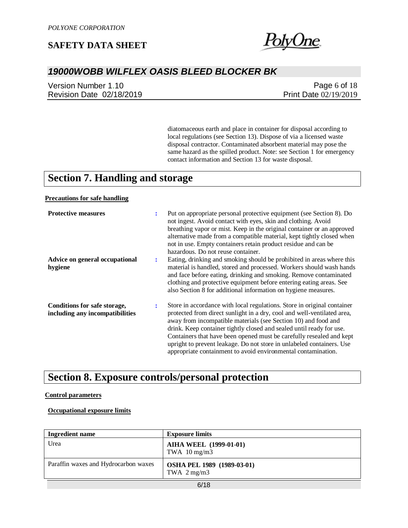

## *19000WOBB WILFLEX OASIS BLEED BLOCKER BK*

Version Number 1.10 Revision Date 02/18/2019

Page 6 of 18 Print Date 02/19/2019

diatomaceous earth and place in container for disposal according to local regulations (see Section 13). Dispose of via a licensed waste disposal contractor. Contaminated absorbent material may pose the same hazard as the spilled product. Note: see Section 1 for emergency contact information and Section 13 for waste disposal.

## **Section 7. Handling and storage**

#### **Precautions for safe handling**

| <b>Protective measures</b><br>Advice on general occupational<br>hygiene | ÷<br>÷ | Put on appropriate personal protective equipment (see Section 8). Do<br>not ingest. Avoid contact with eyes, skin and clothing. Avoid<br>breathing vapor or mist. Keep in the original container or an approved<br>alternative made from a compatible material, kept tightly closed when<br>not in use. Empty containers retain product residue and can be<br>hazardous. Do not reuse container.<br>Eating, drinking and smoking should be prohibited in areas where this<br>material is handled, stored and processed. Workers should wash hands<br>and face before eating, drinking and smoking. Remove contaminated                                  |
|-------------------------------------------------------------------------|--------|---------------------------------------------------------------------------------------------------------------------------------------------------------------------------------------------------------------------------------------------------------------------------------------------------------------------------------------------------------------------------------------------------------------------------------------------------------------------------------------------------------------------------------------------------------------------------------------------------------------------------------------------------------|
| Conditions for safe storage,<br>including any incompatibilities         | :      | clothing and protective equipment before entering eating areas. See<br>also Section 8 for additional information on hygiene measures.<br>Store in accordance with local regulations. Store in original container<br>protected from direct sunlight in a dry, cool and well-ventilated area,<br>away from incompatible materials (see Section 10) and food and<br>drink. Keep container tightly closed and sealed until ready for use.<br>Containers that have been opened must be carefully resealed and kept<br>upright to prevent leakage. Do not store in unlabeled containers. Use<br>appropriate containment to avoid environmental contamination. |

## **Section 8. Exposure controls/personal protection**

#### **Control parameters**

#### **Occupational exposure limits**

| <b>Ingredient name</b>                                                                       | <b>Exposure limits</b>                                   |  |
|----------------------------------------------------------------------------------------------|----------------------------------------------------------|--|
| Urea                                                                                         | <b>AIHA WEEL (1999-01-01)</b><br>TWA $10 \text{ mg/m}$ 3 |  |
| Paraffin waxes and Hydrocarbon waxes<br>OSHA PEL 1989 (1989-03-01)<br>TWA $2 \text{ mg/m}$ 3 |                                                          |  |
| 6/18                                                                                         |                                                          |  |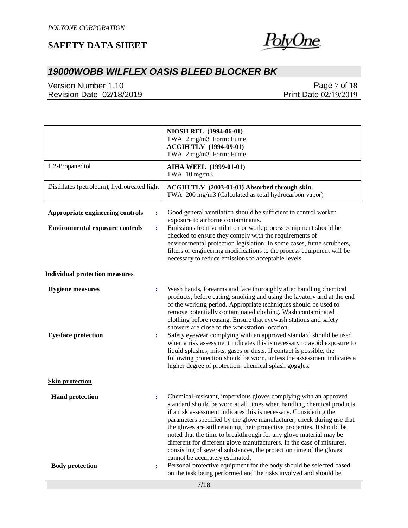

## *19000WOBB WILFLEX OASIS BLEED BLOCKER BK*

Version Number 1.10 Revision Date 02/18/2019

Page 7 of 18 Print Date 02/19/2019

|                                                                                                                | NIOSH REL (1994-06-01)<br>TWA 2 mg/m3 Form: Fume<br><b>ACGIH TLV (1994-09-01)</b><br>TWA 2 mg/m3 Form: Fume                                                                                                                                                                                                                                                                                                                                                                                                                                                                                                                |
|----------------------------------------------------------------------------------------------------------------|----------------------------------------------------------------------------------------------------------------------------------------------------------------------------------------------------------------------------------------------------------------------------------------------------------------------------------------------------------------------------------------------------------------------------------------------------------------------------------------------------------------------------------------------------------------------------------------------------------------------------|
| 1,2-Propanediol                                                                                                | <b>AIHA WEEL (1999-01-01)</b><br>TWA $10 \text{ mg/m}$ 3                                                                                                                                                                                                                                                                                                                                                                                                                                                                                                                                                                   |
| Distillates (petroleum), hydrotreated light                                                                    | ACGIH TLV (2003-01-01) Absorbed through skin.<br>TWA 200 mg/m3 (Calculated as total hydrocarbon vapor)                                                                                                                                                                                                                                                                                                                                                                                                                                                                                                                     |
| Appropriate engineering controls<br>$\ddot{\cdot}$<br><b>Environmental exposure controls</b><br>$\ddot{\cdot}$ | Good general ventilation should be sufficient to control worker<br>exposure to airborne contaminants.<br>Emissions from ventilation or work process equipment should be                                                                                                                                                                                                                                                                                                                                                                                                                                                    |
|                                                                                                                | checked to ensure they comply with the requirements of<br>environmental protection legislation. In some cases, fume scrubbers,<br>filters or engineering modifications to the process equipment will be<br>necessary to reduce emissions to acceptable levels.                                                                                                                                                                                                                                                                                                                                                             |
| <b>Individual protection measures</b>                                                                          |                                                                                                                                                                                                                                                                                                                                                                                                                                                                                                                                                                                                                            |
| <b>Hygiene</b> measures<br>$\ddot{\cdot}$<br><b>Eye/face protection</b><br>፡                                   | Wash hands, forearms and face thoroughly after handling chemical<br>products, before eating, smoking and using the lavatory and at the end<br>of the working period. Appropriate techniques should be used to<br>remove potentially contaminated clothing. Wash contaminated<br>clothing before reusing. Ensure that eyewash stations and safety<br>showers are close to the workstation location.<br>Safety eyewear complying with an approved standard should be used                                                                                                                                                    |
|                                                                                                                | when a risk assessment indicates this is necessary to avoid exposure to<br>liquid splashes, mists, gases or dusts. If contact is possible, the<br>following protection should be worn, unless the assessment indicates a<br>higher degree of protection: chemical splash goggles.                                                                                                                                                                                                                                                                                                                                          |
| <b>Skin protection</b>                                                                                         |                                                                                                                                                                                                                                                                                                                                                                                                                                                                                                                                                                                                                            |
| <b>Hand protection</b><br>$\ddot{\cdot}$                                                                       | Chemical-resistant, impervious gloves complying with an approved<br>standard should be worn at all times when handling chemical products<br>if a risk assessment indicates this is necessary. Considering the<br>parameters specified by the glove manufacturer, check during use that<br>the gloves are still retaining their protective properties. It should be<br>noted that the time to breakthrough for any glove material may be<br>different for different glove manufacturers. In the case of mixtures,<br>consisting of several substances, the protection time of the gloves<br>cannot be accurately estimated. |
| <b>Body protection</b><br>$\ddot{\cdot}$                                                                       | Personal protective equipment for the body should be selected based<br>on the task being performed and the risks involved and should be                                                                                                                                                                                                                                                                                                                                                                                                                                                                                    |
|                                                                                                                | 7/18                                                                                                                                                                                                                                                                                                                                                                                                                                                                                                                                                                                                                       |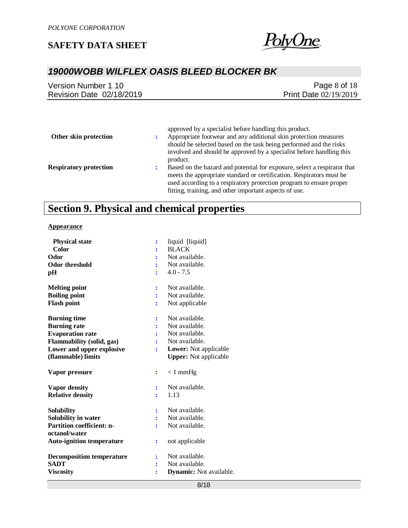

## *19000WOBB WILFLEX OASIS BLEED BLOCKER BK*

| Page $8$ of $18$                                       |
|--------------------------------------------------------|
| Print Date 02/19/2019                                  |
|                                                        |
|                                                        |
| approved by a specialist before handling this product. |
|                                                        |

| Other skin protection         | WPPIOTOG UT W DPOVINILLY COIDING INVISIONING WILD PICCHOGY.<br>Appropriate footwear and any additional skin protection measures |
|-------------------------------|---------------------------------------------------------------------------------------------------------------------------------|
|                               | should be selected based on the task being performed and the risks                                                              |
|                               | involved and should be approved by a specialist before handling this<br>product.                                                |
|                               |                                                                                                                                 |
| <b>Respiratory protection</b> | Based on the hazard and potential for exposure, select a respirator that                                                        |
|                               | meets the appropriate standard or certification. Respirators must be                                                            |
|                               | used according to a respiratory protection program to ensure proper                                                             |
|                               | fitting, training, and other important aspects of use.                                                                          |

# **Section 9. Physical and chemical properties**

#### **Appearance**

| <b>Physical state</b>            | ፡              | liquid [liquid]              |
|----------------------------------|----------------|------------------------------|
| Color                            | $\ddot{\cdot}$ | <b>BLACK</b>                 |
| Odor                             |                | Not available.               |
| <b>Odor threshold</b>            |                | Not available.               |
| pН                               |                | $4.0 - 7.5$                  |
| <b>Melting point</b>             | $\ddot{\cdot}$ | Not available.               |
| <b>Boiling point</b>             |                | Not available.               |
| <b>Flash point</b>               |                | Not applicable               |
| <b>Burning time</b>              | ፡              | Not available.               |
| <b>Burning rate</b>              |                | Not available.               |
| <b>Evaporation rate</b>          |                | Not available.               |
| <b>Flammability (solid, gas)</b> |                | Not available.               |
| Lower and upper explosive        | $\ddot{\cdot}$ | <b>Lower:</b> Not applicable |
| (flammable) limits               |                | <b>Upper:</b> Not applicable |
| Vapor pressure                   | $\ddot{\cdot}$ | $< 1$ mmHg                   |
| <b>Vapor density</b>             | ፡              | Not available.               |
| <b>Relative density</b>          |                | 1.13                         |
| Solubility                       |                | Not available.               |
| Solubility in water              |                | Not available.               |
| <b>Partition coefficient: n-</b> | ÷              | Not available.               |
| octanol/water                    |                |                              |
| <b>Auto-ignition temperature</b> | $\ddot{\cdot}$ | not applicable               |
| <b>Decomposition temperature</b> | ፡              | Not available.               |
| <b>SADT</b>                      | $\ddot{\cdot}$ | Not available.               |
| <b>Viscosity</b>                 |                | Dynamic: Not available.      |
|                                  |                |                              |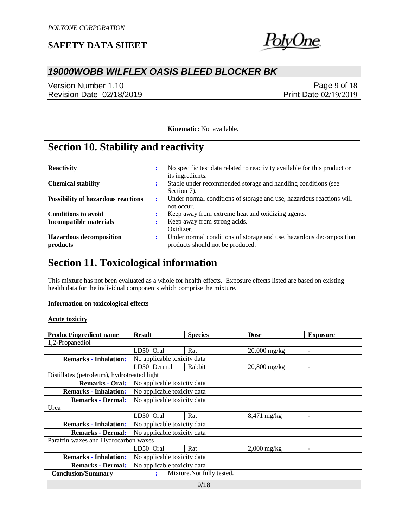

## *19000WOBB WILFLEX OASIS BLEED BLOCKER BK*

Version Number 1.10 Revision Date 02/18/2019

Page 9 of 18 Print Date 02/19/2019

**Kinematic:** Not available.

# **Section 10. Stability and reactivity**

| <b>Reactivity</b>                          | ٠<br>$\bullet$ | No specific test data related to reactivity available for this product or<br>its ingredients.           |
|--------------------------------------------|----------------|---------------------------------------------------------------------------------------------------------|
| <b>Chemical stability</b>                  | ÷              | Stable under recommended storage and handling conditions (see<br>Section 7).                            |
| <b>Possibility of hazardous reactions</b>  | ÷              | Under normal conditions of storage and use, hazardous reactions will<br>not occur.                      |
| <b>Conditions to avoid</b>                 |                | Keep away from extreme heat and oxidizing agents.                                                       |
| <b>Incompatible materials</b>              |                | Keep away from strong acids.<br>Oxidizer.                                                               |
| <b>Hazardous decomposition</b><br>products | ÷              | Under normal conditions of storage and use, hazardous decomposition<br>products should not be produced. |

## **Section 11. Toxicological information**

This mixture has not been evaluated as a whole for health effects. Exposure effects listed are based on existing health data for the individual components which comprise the mixture.

#### **Information on toxicological effects**

#### **Acute toxicity**

| <b>Product/ingredient name</b>              | <b>Result</b>               | <b>Species</b>             | <b>Dose</b>           | <b>Exposure</b>          |
|---------------------------------------------|-----------------------------|----------------------------|-----------------------|--------------------------|
| 1,2-Propanediol                             |                             |                            |                       |                          |
|                                             | LD50 Oral                   | Rat                        | $20,000$ mg/kg        | $\overline{a}$           |
| <b>Remarks - Inhalation:</b>                | No applicable toxicity data |                            |                       |                          |
|                                             | LD50 Dermal                 | Rabbit                     | $20,800$ mg/kg        | $\overline{\phantom{0}}$ |
| Distillates (petroleum), hydrotreated light |                             |                            |                       |                          |
| <b>Remarks - Oral:</b>                      | No applicable toxicity data |                            |                       |                          |
| <b>Remarks - Inhalation:</b>                | No applicable toxicity data |                            |                       |                          |
| <b>Remarks - Dermal:</b>                    | No applicable toxicity data |                            |                       |                          |
| Urea                                        |                             |                            |                       |                          |
|                                             | LD50 Oral                   | Rat                        | $8,471 \text{ mg/kg}$ | $\qquad \qquad -$        |
| <b>Remarks - Inhalation:</b>                | No applicable toxicity data |                            |                       |                          |
| <b>Remarks - Dermal:</b>                    | No applicable toxicity data |                            |                       |                          |
| Paraffin waxes and Hydrocarbon waxes        |                             |                            |                       |                          |
|                                             | LD50 Oral                   | Rat                        | $2,000$ mg/kg         | $\qquad \qquad -$        |
| <b>Remarks - Inhalation:</b>                | No applicable toxicity data |                            |                       |                          |
| <b>Remarks - Dermal:</b>                    | No applicable toxicity data |                            |                       |                          |
| <b>Conclusion/Summary</b>                   | ÷                           | Mixture. Not fully tested. |                       |                          |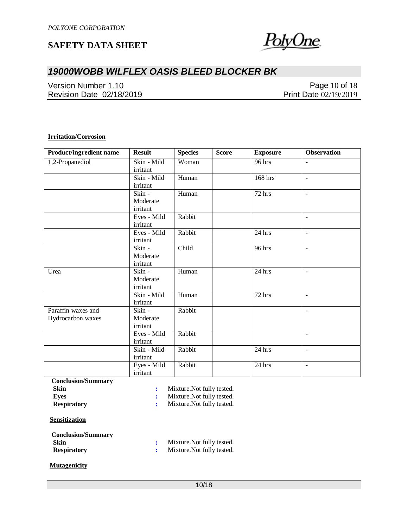

## *19000WOBB WILFLEX OASIS BLEED BLOCKER BK*

Version Number 1.10 Revision Date 02/18/2019

Page 10 of 18 Print Date 02/19/2019

#### **Irritation/Corrosion**

| Product/ingredient name | <b>Result</b> | <b>Species</b> | <b>Score</b> | <b>Exposure</b> | <b>Observation</b>       |
|-------------------------|---------------|----------------|--------------|-----------------|--------------------------|
| 1,2-Propanediol         | Skin - Mild   | Woman          |              | 96 hrs          | $\blacksquare$           |
|                         | irritant      |                |              |                 |                          |
|                         | Skin - Mild   | Human          |              | 168 hrs         | $\sim$                   |
|                         | irritant      |                |              |                 |                          |
|                         | Skin -        | Human          |              | 72 hrs          | $\sim$                   |
|                         | Moderate      |                |              |                 |                          |
|                         | irritant      |                |              |                 |                          |
|                         | Eyes - Mild   | Rabbit         |              |                 | $\blacksquare$           |
|                         | irritant      |                |              |                 |                          |
|                         | Eyes - Mild   | Rabbit         |              | 24 hrs          | $\overline{\phantom{a}}$ |
|                         | irritant      |                |              |                 |                          |
|                         | Skin -        | Child          |              | 96 hrs          | $\blacksquare$           |
|                         | Moderate      |                |              |                 |                          |
|                         | irritant      |                |              |                 |                          |
| Urea                    | Skin -        | Human          |              | 24 hrs          | $\overline{\phantom{a}}$ |
|                         | Moderate      |                |              |                 |                          |
|                         | irritant      |                |              |                 |                          |
|                         | Skin - Mild   | Human          |              | 72 hrs          | $\sim$                   |
|                         | irritant      |                |              |                 |                          |
| Paraffin waxes and      | Skin -        | Rabbit         |              |                 | $\blacksquare$           |
| Hydrocarbon waxes       | Moderate      |                |              |                 |                          |
|                         | irritant      |                |              |                 |                          |
|                         | Eyes - Mild   | Rabbit         |              |                 | $\blacksquare$           |
|                         | irritant      |                |              |                 |                          |
|                         | Skin - Mild   | Rabbit         |              | 24 hrs          | $\blacksquare$           |
|                         | irritant      |                |              |                 |                          |
|                         | Eyes - Mild   | Rabbit         |              | 24 hrs          | $\blacksquare$           |
|                         | irritant      |                |              |                 |                          |

 **Conclusion/Summary Eyes :** Mixture.Not fully tested.  **Respiratory :** Mixture.Not fully tested.

**:** Mixture.Not fully tested.

**Sensitization**

| <b>Conclusion/Summary</b> |                            |
|---------------------------|----------------------------|
| Skin                      | Mixture. Not fully tested. |
| <b>Respiratory</b>        | Mixture. Not fully tested. |

#### **Mutagenicity**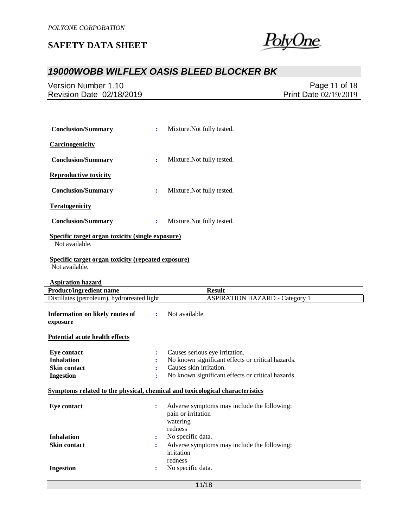

## *19000WOBB WILFLEX OASIS BLEED BLOCKER BK*

| Version Number 1.10      | Page 11 of 18         |
|--------------------------|-----------------------|
| Revision Date 02/18/2019 | Print Date 02/19/2019 |

| <b>Conclusion/Summary</b>    | ÷ | Mixture. Not fully tested. |
|------------------------------|---|----------------------------|
| Carcinogenicity              |   |                            |
| <b>Conclusion/Summary</b>    | ÷ | Mixture. Not fully tested. |
| <b>Reproductive toxicity</b> |   |                            |
| <b>Conclusion/Summary</b>    | ÷ | Mixture. Not fully tested. |
| <b>Teratogenicity</b>        |   |                            |
| <b>Conclusion/Summary</b>    | ÷ | Mixture. Not fully tested. |

#### **Specific target organ toxicity (single exposure)** Not available.

#### **Specific target organ toxicity (repeated exposure)** Not available.

#### **Aspiration hazard**

| Product/ingredient name                                                      |                         | <b>Result</b>                                     |
|------------------------------------------------------------------------------|-------------------------|---------------------------------------------------|
| Distillates (petroleum), hydrotreated light                                  |                         | <b>ASPIRATION HAZARD - Category 1</b>             |
| Information on likely routes of<br>÷<br>exposure                             | Not available.          |                                                   |
| Potential acute health effects                                               |                         |                                                   |
| <b>Eye contact</b>                                                           |                         | Causes serious eye irritation.                    |
| <b>Inhalation</b>                                                            |                         | No known significant effects or critical hazards. |
| <b>Skin contact</b>                                                          | Causes skin irritation. |                                                   |
| <b>Ingestion</b><br>÷                                                        |                         | No known significant effects or critical hazards. |
| Symptoms related to the physical, chemical and toxicological characteristics |                         |                                                   |
| <b>Eye contact</b><br>÷                                                      |                         | Adverse symptoms may include the following:       |
|                                                                              | pain or irritation      |                                                   |
|                                                                              | watering                |                                                   |
|                                                                              | redness                 |                                                   |
| <b>Inhalation</b><br>÷                                                       | No specific data.       |                                                   |
| <b>Skin contact</b><br>:                                                     |                         | Adverse symptoms may include the following:       |
|                                                                              | irritation              |                                                   |
|                                                                              | redness                 |                                                   |
| <b>Ingestion</b><br>÷                                                        | No specific data.       |                                                   |
|                                                                              |                         | 11/18                                             |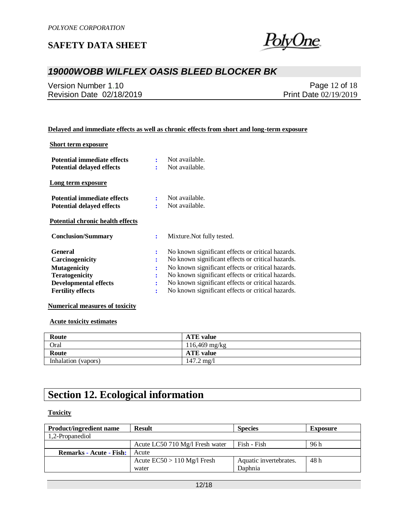

## *19000WOBB WILFLEX OASIS BLEED BLOCKER BK*

Version Number 1.10 Revision Date 02/18/2019

Page 12 of 18 Print Date 02/19/2019

#### **Delayed and immediate effects as well as chronic effects from short and long-term exposure**

#### **Short term exposure**

| Potential immediate effects                                          |                      | Not available.                                    |
|----------------------------------------------------------------------|----------------------|---------------------------------------------------|
| <b>Potential delayed effects</b>                                     |                      | Not available.                                    |
| Long term exposure                                                   |                      |                                                   |
| Potential immediate effects                                          | $\ddot{\phantom{a}}$ | Not available.                                    |
| <b>Potential delayed effects</b>                                     | ÷                    | Not available.                                    |
| <b>Potential chronic health effects</b><br><b>Conclusion/Summary</b> | $\ddot{\cdot}$       | Mixture. Not fully tested.                        |
| <b>General</b>                                                       | ٠.                   | No known significant effects or critical hazards. |
| Carcinogenicity                                                      | :                    | No known significant effects or critical hazards. |
| <b>Mutagenicity</b>                                                  | ÷                    | No known significant effects or critical hazards. |
| <b>Teratogenicity</b>                                                | ÷                    | No known significant effects or critical hazards. |
| <b>Developmental effects</b>                                         | ÷                    | No known significant effects or critical hazards. |
| <b>Fertility effects</b>                                             | ۰                    | No known significant effects or critical hazards. |

#### **Numerical measures of toxicity**

#### **Acute toxicity estimates**

| Route               | <b>ATE</b> value     |
|---------------------|----------------------|
| Oral                | $116,469$ mg/kg      |
| Route               | <b>ATE</b> value     |
| Inhalation (vapors) | $147.2 \text{ mg}/1$ |

## **Section 12. Ecological information**

#### **Toxicity**

| <b>Product/ingredient name</b> | <b>Result</b>                   | <b>Species</b>         | <b>Exposure</b> |
|--------------------------------|---------------------------------|------------------------|-----------------|
| 1,2-Propanediol                |                                 |                        |                 |
|                                | Acute LC50 710 Mg/l Fresh water | Fish - Fish            | 96 h            |
| <b>Remarks - Acute - Fish:</b> | Acute                           |                        |                 |
|                                | Acute $EC50 > 110$ Mg/l Fresh   | Aquatic invertebrates. | 48 h            |
|                                | water                           | Daphnia                |                 |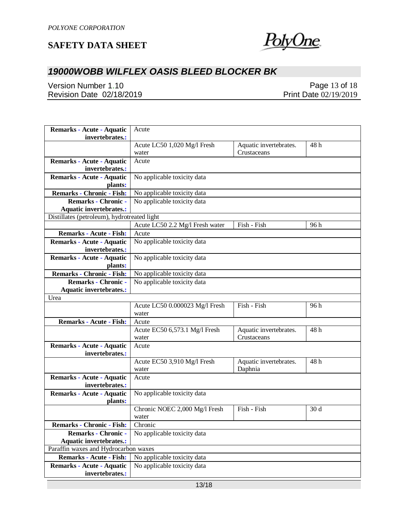

## *19000WOBB WILFLEX OASIS BLEED BLOCKER BK*

Version Number 1.10 Revision Date 02/18/2019

Page 13 of 18 Print Date 02/19/2019

| Remarks - Acute - Aquatic<br>invertebrates.: | Acute                                   |                        |      |
|----------------------------------------------|-----------------------------------------|------------------------|------|
|                                              | Acute LC50 1,020 Mg/l Fresh             | Aquatic invertebrates. | 48 h |
|                                              | water                                   | Crustaceans            |      |
| Remarks - Acute - Aquatic                    | Acute                                   |                        |      |
| invertebrates.:                              |                                         |                        |      |
| Remarks - Acute - Aquatic                    | No applicable toxicity data             |                        |      |
| plants:                                      |                                         |                        |      |
| <b>Remarks - Chronic - Fish:</b>             | No applicable toxicity data             |                        |      |
| <b>Remarks - Chronic -</b>                   | No applicable toxicity data             |                        |      |
| <b>Aquatic invertebrates.:</b>               |                                         |                        |      |
| Distillates (petroleum), hydrotreated light  |                                         |                        |      |
|                                              | Acute LC50 2.2 Mg/l Fresh water         | Fish - Fish            | 96 h |
| <b>Remarks - Acute - Fish:</b>               | Acute                                   |                        |      |
| Remarks - Acute - Aquatic                    | No applicable toxicity data             |                        |      |
| invertebrates.:                              |                                         |                        |      |
| Remarks - Acute - Aquatic                    | No applicable toxicity data             |                        |      |
| plants:                                      |                                         |                        |      |
| <b>Remarks - Chronic - Fish:</b>             | No applicable toxicity data             |                        |      |
| <b>Remarks - Chronic -</b>                   | No applicable toxicity data             |                        |      |
| <b>Aquatic invertebrates.:</b>               |                                         |                        |      |
| Urea                                         |                                         |                        |      |
|                                              | Acute LC50 0.000023 Mg/l Fresh<br>water | Fish - Fish            | 96 h |
| <b>Remarks - Acute - Fish:</b>               | Acute                                   |                        |      |
|                                              | Acute EC50 6,573.1 Mg/l Fresh           | Aquatic invertebrates. | 48 h |
|                                              | water                                   | Crustaceans            |      |
| Remarks - Acute - Aquatic                    | Acute                                   |                        |      |
| invertebrates.:                              |                                         |                        |      |
|                                              | Acute EC50 3,910 Mg/l Fresh             | Aquatic invertebrates. | 48 h |
|                                              | water                                   | Daphnia                |      |
| Remarks - Acute - Aquatic<br>invertebrates.: | Acute                                   |                        |      |
|                                              | No applicable toxicity data             |                        |      |
| Remarks - Acute - Aquatic<br>plants:         |                                         |                        |      |
|                                              | Chronic NOEC 2,000 Mg/l Fresh           | Fish - Fish            | 30 d |
|                                              | water                                   |                        |      |
| <b>Remarks - Chronic - Fish:</b>             | Chronic                                 |                        |      |
| <b>Remarks - Chronic -</b>                   | No applicable toxicity data             |                        |      |
| <b>Aquatic invertebrates.:</b>               |                                         |                        |      |
| Paraffin waxes and Hydrocarbon waxes         |                                         |                        |      |
| <b>Remarks - Acute - Fish:</b>               | No applicable toxicity data             |                        |      |
| Remarks - Acute - Aquatic                    | No applicable toxicity data             |                        |      |
| invertebrates.:                              |                                         |                        |      |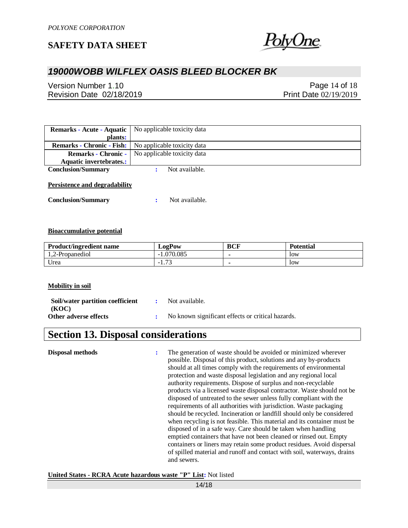

## *19000WOBB WILFLEX OASIS BLEED BLOCKER BK*

Version Number 1.10 Revision Date 02/18/2019

Page 14 of 18 Print Date 02/19/2019

| <b>Remarks - Acute - Aquatic</b>   No applicable toxicity data |                                                          |
|----------------------------------------------------------------|----------------------------------------------------------|
| plants:                                                        |                                                          |
| <b>Remarks - Chronic - Fish:</b> No applicable toxicity data   |                                                          |
|                                                                | <b>Remarks - Chronic -</b>   No applicable toxicity data |
| <b>Aquatic invertebrates.:</b>                                 |                                                          |
| <b>Conclusion/Summary</b>                                      | Not available.                                           |

#### **Persistence and degradability**

**Conclusion/Summary :** Not available.

#### **Bioaccumulative potential**

| <b>Product/ingredient name</b> | LogPow               | <b>BCF</b> | <b>Potential</b> |
|--------------------------------|----------------------|------------|------------------|
| 1.2-Propanediol                | .070.085<br>- 1      |            | low              |
| Urea                           | $\sqrt{2}$<br>$-1.1$ |            | low              |

#### **Mobility in soil**

| Soil/water partition coefficient | Not available.                                    |
|----------------------------------|---------------------------------------------------|
| (KOC)                            |                                                   |
| Other adverse effects            | No known significant effects or critical hazards. |

### **Section 13. Disposal considerations**

**Disposal methods :** The generation of waste should be avoided or minimized wherever possible. Disposal of this product, solutions and any by-products should at all times comply with the requirements of environmental protection and waste disposal legislation and any regional local authority requirements. Dispose of surplus and non-recyclable products via a licensed waste disposal contractor. Waste should not be disposed of untreated to the sewer unless fully compliant with the requirements of all authorities with jurisdiction. Waste packaging should be recycled. Incineration or landfill should only be considered when recycling is not feasible. This material and its container must be disposed of in a safe way. Care should be taken when handling emptied containers that have not been cleaned or rinsed out. Empty containers or liners may retain some product residues. Avoid dispersal of spilled material and runoff and contact with soil, waterways, drains and sewers.

**United States - RCRA Acute hazardous waste "P" List:** Not listed

14/18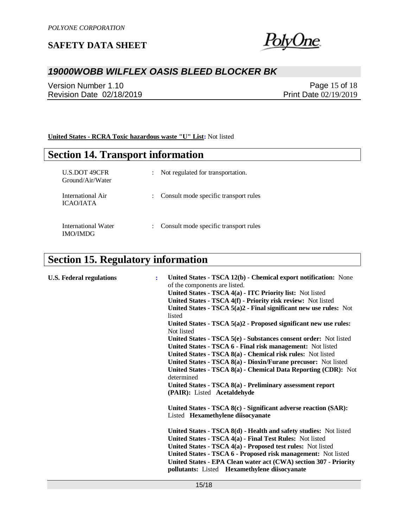

## *19000WOBB WILFLEX OASIS BLEED BLOCKER BK*

Version Number 1.10 Revision Date 02/18/2019

Page 15 of 18 Print Date 02/19/2019

**United States - RCRA Toxic hazardous waste "U" List:** Not listed

## **Section 14. Transport information**

| <b>U.S.DOT 49CFR</b><br>Ground/Air/Water | Not regulated for transportation.     |
|------------------------------------------|---------------------------------------|
| International Air<br>ICAO/IATA           | Consult mode specific transport rules |
| International Water<br>IMO/IMDG          | Consult mode specific transport rules |

# **Section 15. Regulatory information**

| <b>U.S. Federal regulations</b> | ÷ | United States - TSCA 12(b) - Chemical export notification: None<br>of the components are listed. |
|---------------------------------|---|--------------------------------------------------------------------------------------------------|
|                                 |   | United States - TSCA 4(a) - ITC Priority list: Not listed                                        |
|                                 |   | United States - TSCA 4(f) - Priority risk review: Not listed                                     |
|                                 |   | United States - TSCA $5(a)2$ - Final significant new use rules: Not                              |
|                                 |   | listed                                                                                           |
|                                 |   | United States - TSCA 5(a)2 - Proposed significant new use rules:<br>Not listed                   |
|                                 |   | United States - TSCA 5(e) - Substances consent order: Not listed                                 |
|                                 |   | United States - TSCA 6 - Final risk management: Not listed                                       |
|                                 |   | United States - TSCA 8(a) - Chemical risk rules: Not listed                                      |
|                                 |   | United States - TSCA 8(a) - Dioxin/Furane precusor: Not listed                                   |
|                                 |   | United States - TSCA 8(a) - Chemical Data Reporting (CDR): Not                                   |
|                                 |   | determined                                                                                       |
|                                 |   | United States - TSCA 8(a) - Preliminary assessment report                                        |
|                                 |   | (PAIR): Listed Acetaldehyde                                                                      |
|                                 |   | United States - TSCA 8(c) - Significant adverse reaction (SAR):                                  |
|                                 |   | Listed Hexamethylene diisocyanate                                                                |
|                                 |   | United States - TSCA 8(d) - Health and safety studies: Not listed                                |
|                                 |   | United States - TSCA 4(a) - Final Test Rules: Not listed                                         |
|                                 |   | United States - TSCA 4(a) - Proposed test rules: Not listed                                      |
|                                 |   | United States - TSCA 6 - Proposed risk management: Not listed                                    |
|                                 |   | United States - EPA Clean water act (CWA) section 307 - Priority                                 |
|                                 |   | pollutants: Listed Hexamethylene diisocyanate                                                    |
|                                 |   |                                                                                                  |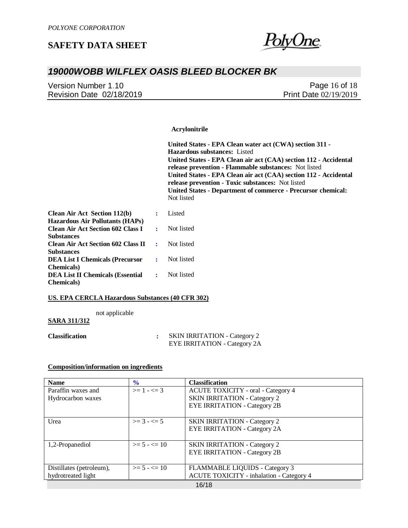

## *19000WOBB WILFLEX OASIS BLEED BLOCKER BK*

| Version Number 1.10      | Page 16 of 18                |
|--------------------------|------------------------------|
| Revision Date 02/18/2019 | <b>Print Date 02/19/2019</b> |
|                          |                              |

 **Acrylonitrile**

**United States - EPA Clean water act (CWA) section 311 - Hazardous substances:** Listed **United States - EPA Clean air act (CAA) section 112 - Accidental release prevention - Flammable substances:** Not listed **United States - EPA Clean air act (CAA) section 112 - Accidental release prevention - Toxic substances:** Not listed **United States - Department of commerce - Precursor chemical:**  Not listed

| <b>Clean Air Act Section 112(b)</b>         | ٠                 | Listed     |
|---------------------------------------------|-------------------|------------|
| <b>Hazardous Air Pollutants (HAPs)</b>      |                   |            |
| <b>Clean Air Act Section 602 Class I</b>    | $\mathbf{r}$      | Not listed |
| <b>Substances</b>                           |                   |            |
| <b>Clean Air Act Section 602 Class II :</b> |                   | Not listed |
| <b>Substances</b>                           |                   |            |
| <b>DEA List I Chemicals (Precursor</b>      | $\mathbf{1}$      | Not listed |
| <b>Chemicals</b> )                          |                   |            |
| <b>DEA List II Chemicals (Essential</b>     | $\sim$ 100 $\sim$ | Not listed |
| <b>Chemicals</b> )                          |                   |            |

#### **US. EPA CERCLA Hazardous Substances (40 CFR 302)**

not applicable

**SARA 311/312**

**Classification :** SKIN IRRITATION - Category 2 EYE IRRITATION - Category 2A

#### **Composition/information on ingredients**

| <b>Name</b>              | $\frac{6}{6}$        | <b>Classification</b>                           |
|--------------------------|----------------------|-------------------------------------------------|
| Paraffin waxes and       | $>= 1 - 1 = 3$       | <b>ACUTE TOXICITY - oral - Category 4</b>       |
| Hydrocarbon waxes        |                      | <b>SKIN IRRITATION - Category 2</b>             |
|                          |                      | <b>EYE IRRITATION - Category 2B</b>             |
|                          |                      |                                                 |
| Urea                     | $>= 3 - 5$           | <b>SKIN IRRITATION - Category 2</b>             |
|                          |                      | <b>EYE IRRITATION - Category 2A</b>             |
|                          |                      |                                                 |
| 1,2-Propanediol          | $\geq$ 5 - $\leq$ 10 | <b>SKIN IRRITATION - Category 2</b>             |
|                          |                      | <b>EYE IRRITATION - Category 2B</b>             |
|                          |                      |                                                 |
| Distillates (petroleum), | $>= 5 - 5 = 10$      | FLAMMABLE LIQUIDS - Category 3                  |
| hydrotreated light       |                      | <b>ACUTE TOXICITY</b> - inhalation - Category 4 |
| 16/18                    |                      |                                                 |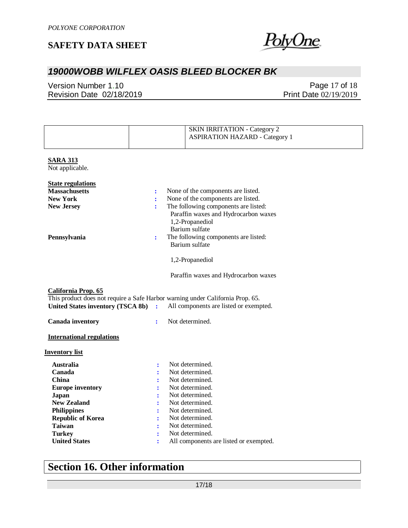

## *19000WOBB WILFLEX OASIS BLEED BLOCKER BK*

Version Number 1.10 Revision Date 02/18/2019

Page 17 of 18 Print Date 02/19/2019

|                                                                                |   | <b>SKIN IRRITATION - Category 2</b>    |
|--------------------------------------------------------------------------------|---|----------------------------------------|
|                                                                                |   | <b>ASPIRATION HAZARD - Category 1</b>  |
|                                                                                |   |                                        |
|                                                                                |   |                                        |
| <b>SARA 313</b>                                                                |   |                                        |
| Not applicable.                                                                |   |                                        |
| <b>State regulations</b>                                                       |   |                                        |
| <b>Massachusetts</b>                                                           | ÷ | None of the components are listed.     |
| <b>New York</b>                                                                | ÷ | None of the components are listed.     |
| <b>New Jersey</b>                                                              | ÷ | The following components are listed:   |
|                                                                                |   | Paraffin waxes and Hydrocarbon waxes   |
|                                                                                |   | 1,2-Propanediol                        |
|                                                                                |   | Barium sulfate                         |
| Pennsylvania                                                                   | ÷ | The following components are listed:   |
|                                                                                |   | Barium sulfate                         |
|                                                                                |   | 1,2-Propanediol                        |
|                                                                                |   |                                        |
|                                                                                |   | Paraffin waxes and Hydrocarbon waxes   |
| California Prop. 65                                                            |   |                                        |
| This product does not require a Safe Harbor warning under California Prop. 65. |   |                                        |
| <b>United States inventory (TSCA 8b)</b>                                       | ÷ | All components are listed or exempted. |
|                                                                                |   |                                        |
| <b>Canada inventory</b>                                                        | ÷ | Not determined.                        |
| <b>International regulations</b>                                               |   |                                        |
|                                                                                |   |                                        |
| <b>Inventory list</b>                                                          |   |                                        |
| Australia                                                                      | ÷ | Not determined.                        |
| Canada                                                                         |   | Not determined.                        |
| <b>China</b>                                                                   |   | Not determined.                        |
| <b>Europe inventory</b>                                                        |   | Not determined.                        |
| <b>Japan</b>                                                                   |   | Not determined.                        |
| <b>New Zealand</b>                                                             |   | Not determined.                        |
| <b>Philippines</b>                                                             |   | Not determined.                        |
| <b>Republic of Korea</b>                                                       |   | Not determined.                        |
| <b>Taiwan</b>                                                                  | ÷ | Not determined.                        |
| <b>Turkey</b>                                                                  | ÷ | Not determined.                        |
| <b>United States</b>                                                           | ÷ | All components are listed or exempted. |

# **Section 16. Other information**